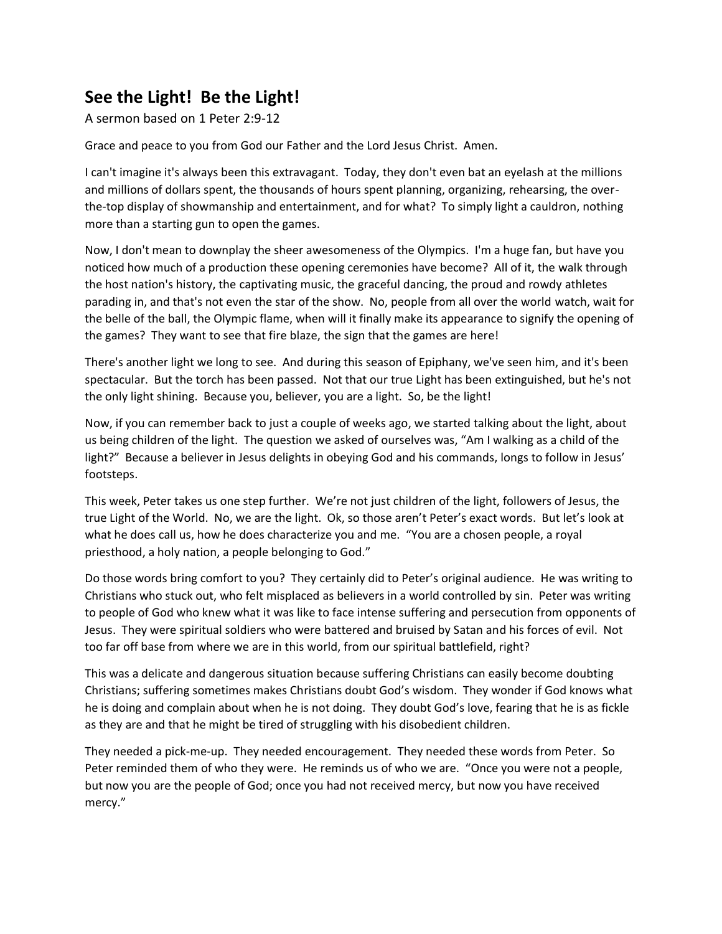## **See the Light! Be the Light!**

A sermon based on 1 Peter 2:9-12

Grace and peace to you from God our Father and the Lord Jesus Christ. Amen.

I can't imagine it's always been this extravagant. Today, they don't even bat an eyelash at the millions and millions of dollars spent, the thousands of hours spent planning, organizing, rehearsing, the overthe-top display of showmanship and entertainment, and for what? To simply light a cauldron, nothing more than a starting gun to open the games.

Now, I don't mean to downplay the sheer awesomeness of the Olympics. I'm a huge fan, but have you noticed how much of a production these opening ceremonies have become? All of it, the walk through the host nation's history, the captivating music, the graceful dancing, the proud and rowdy athletes parading in, and that's not even the star of the show. No, people from all over the world watch, wait for the belle of the ball, the Olympic flame, when will it finally make its appearance to signify the opening of the games? They want to see that fire blaze, the sign that the games are here!

There's another light we long to see. And during this season of Epiphany, we've seen him, and it's been spectacular. But the torch has been passed. Not that our true Light has been extinguished, but he's not the only light shining. Because you, believer, you are a light. So, be the light!

Now, if you can remember back to just a couple of weeks ago, we started talking about the light, about us being children of the light. The question we asked of ourselves was, "Am I walking as a child of the light?" Because a believer in Jesus delights in obeying God and his commands, longs to follow in Jesus' footsteps.

This week, Peter takes us one step further. We're not just children of the light, followers of Jesus, the true Light of the World. No, we are the light. Ok, so those aren't Peter's exact words. But let's look at what he does call us, how he does characterize you and me. "You are a chosen people, a royal priesthood, a holy nation, a people belonging to God."

Do those words bring comfort to you? They certainly did to Peter's original audience. He was writing to Christians who stuck out, who felt misplaced as believers in a world controlled by sin. Peter was writing to people of God who knew what it was like to face intense suffering and persecution from opponents of Jesus. They were spiritual soldiers who were battered and bruised by Satan and his forces of evil. Not too far off base from where we are in this world, from our spiritual battlefield, right?

This was a delicate and dangerous situation because suffering Christians can easily become doubting Christians; suffering sometimes makes Christians doubt God's wisdom. They wonder if God knows what he is doing and complain about when he is not doing. They doubt God's love, fearing that he is as fickle as they are and that he might be tired of struggling with his disobedient children.

They needed a pick-me-up. They needed encouragement. They needed these words from Peter. So Peter reminded them of who they were. He reminds us of who we are. "Once you were not a people, but now you are the people of God; once you had not received mercy, but now you have received mercy."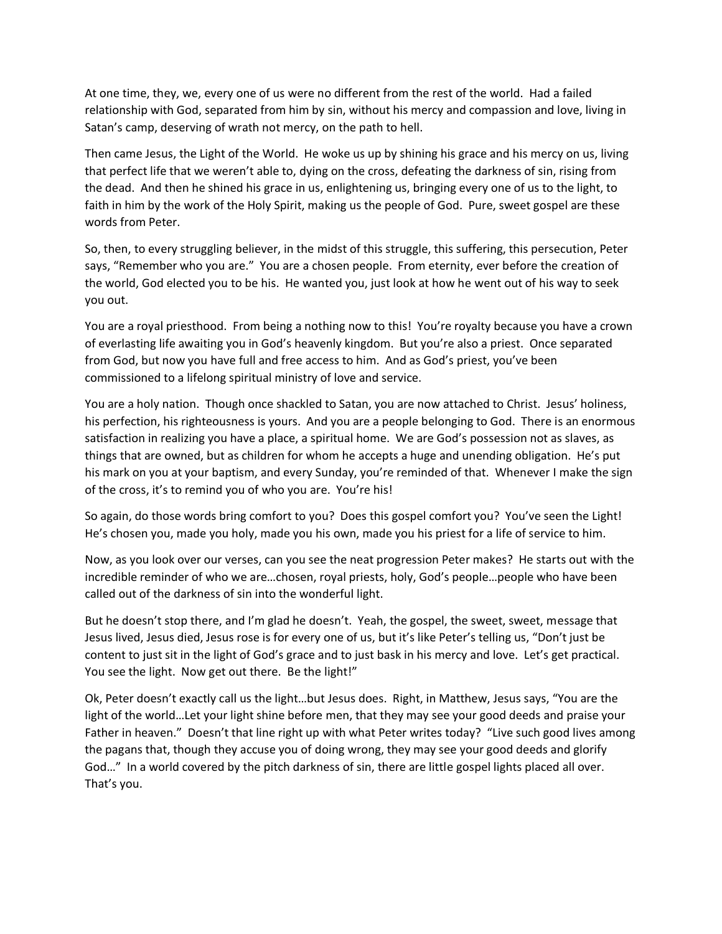At one time, they, we, every one of us were no different from the rest of the world. Had a failed relationship with God, separated from him by sin, without his mercy and compassion and love, living in Satan's camp, deserving of wrath not mercy, on the path to hell.

Then came Jesus, the Light of the World. He woke us up by shining his grace and his mercy on us, living that perfect life that we weren't able to, dying on the cross, defeating the darkness of sin, rising from the dead. And then he shined his grace in us, enlightening us, bringing every one of us to the light, to faith in him by the work of the Holy Spirit, making us the people of God. Pure, sweet gospel are these words from Peter.

So, then, to every struggling believer, in the midst of this struggle, this suffering, this persecution, Peter says, "Remember who you are." You are a chosen people. From eternity, ever before the creation of the world, God elected you to be his. He wanted you, just look at how he went out of his way to seek you out.

You are a royal priesthood. From being a nothing now to this! You're royalty because you have a crown of everlasting life awaiting you in God's heavenly kingdom. But you're also a priest. Once separated from God, but now you have full and free access to him. And as God's priest, you've been commissioned to a lifelong spiritual ministry of love and service.

You are a holy nation. Though once shackled to Satan, you are now attached to Christ. Jesus' holiness, his perfection, his righteousness is yours. And you are a people belonging to God. There is an enormous satisfaction in realizing you have a place, a spiritual home. We are God's possession not as slaves, as things that are owned, but as children for whom he accepts a huge and unending obligation. He's put his mark on you at your baptism, and every Sunday, you're reminded of that. Whenever I make the sign of the cross, it's to remind you of who you are. You're his!

So again, do those words bring comfort to you? Does this gospel comfort you? You've seen the Light! He's chosen you, made you holy, made you his own, made you his priest for a life of service to him.

Now, as you look over our verses, can you see the neat progression Peter makes? He starts out with the incredible reminder of who we are…chosen, royal priests, holy, God's people…people who have been called out of the darkness of sin into the wonderful light.

But he doesn't stop there, and I'm glad he doesn't. Yeah, the gospel, the sweet, sweet, message that Jesus lived, Jesus died, Jesus rose is for every one of us, but it's like Peter's telling us, "Don't just be content to just sit in the light of God's grace and to just bask in his mercy and love. Let's get practical. You see the light. Now get out there. Be the light!"

Ok, Peter doesn't exactly call us the light…but Jesus does. Right, in Matthew, Jesus says, "You are the light of the world…Let your light shine before men, that they may see your good deeds and praise your Father in heaven." Doesn't that line right up with what Peter writes today? "Live such good lives among the pagans that, though they accuse you of doing wrong, they may see your good deeds and glorify God..." In a world covered by the pitch darkness of sin, there are little gospel lights placed all over. That's you.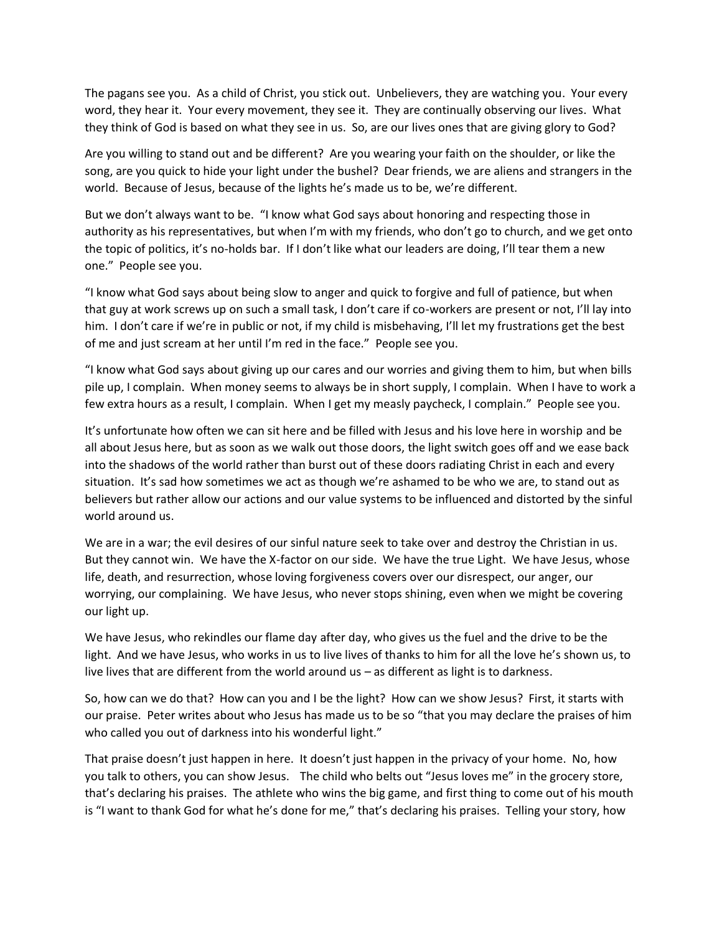The pagans see you. As a child of Christ, you stick out. Unbelievers, they are watching you. Your every word, they hear it. Your every movement, they see it. They are continually observing our lives. What they think of God is based on what they see in us. So, are our lives ones that are giving glory to God?

Are you willing to stand out and be different? Are you wearing your faith on the shoulder, or like the song, are you quick to hide your light under the bushel? Dear friends, we are aliens and strangers in the world. Because of Jesus, because of the lights he's made us to be, we're different.

But we don't always want to be. "I know what God says about honoring and respecting those in authority as his representatives, but when I'm with my friends, who don't go to church, and we get onto the topic of politics, it's no-holds bar. If I don't like what our leaders are doing, I'll tear them a new one." People see you.

"I know what God says about being slow to anger and quick to forgive and full of patience, but when that guy at work screws up on such a small task, I don't care if co-workers are present or not, I'll lay into him. I don't care if we're in public or not, if my child is misbehaving, I'll let my frustrations get the best of me and just scream at her until I'm red in the face." People see you.

"I know what God says about giving up our cares and our worries and giving them to him, but when bills pile up, I complain. When money seems to always be in short supply, I complain. When I have to work a few extra hours as a result, I complain. When I get my measly paycheck, I complain." People see you.

It's unfortunate how often we can sit here and be filled with Jesus and his love here in worship and be all about Jesus here, but as soon as we walk out those doors, the light switch goes off and we ease back into the shadows of the world rather than burst out of these doors radiating Christ in each and every situation. It's sad how sometimes we act as though we're ashamed to be who we are, to stand out as believers but rather allow our actions and our value systems to be influenced and distorted by the sinful world around us.

We are in a war; the evil desires of our sinful nature seek to take over and destroy the Christian in us. But they cannot win. We have the X-factor on our side. We have the true Light. We have Jesus, whose life, death, and resurrection, whose loving forgiveness covers over our disrespect, our anger, our worrying, our complaining. We have Jesus, who never stops shining, even when we might be covering our light up.

We have Jesus, who rekindles our flame day after day, who gives us the fuel and the drive to be the light. And we have Jesus, who works in us to live lives of thanks to him for all the love he's shown us, to live lives that are different from the world around us – as different as light is to darkness.

So, how can we do that? How can you and I be the light? How can we show Jesus? First, it starts with our praise. Peter writes about who Jesus has made us to be so "that you may declare the praises of him who called you out of darkness into his wonderful light."

That praise doesn't just happen in here. It doesn't just happen in the privacy of your home. No, how you talk to others, you can show Jesus. The child who belts out "Jesus loves me" in the grocery store, that's declaring his praises. The athlete who wins the big game, and first thing to come out of his mouth is "I want to thank God for what he's done for me," that's declaring his praises. Telling your story, how